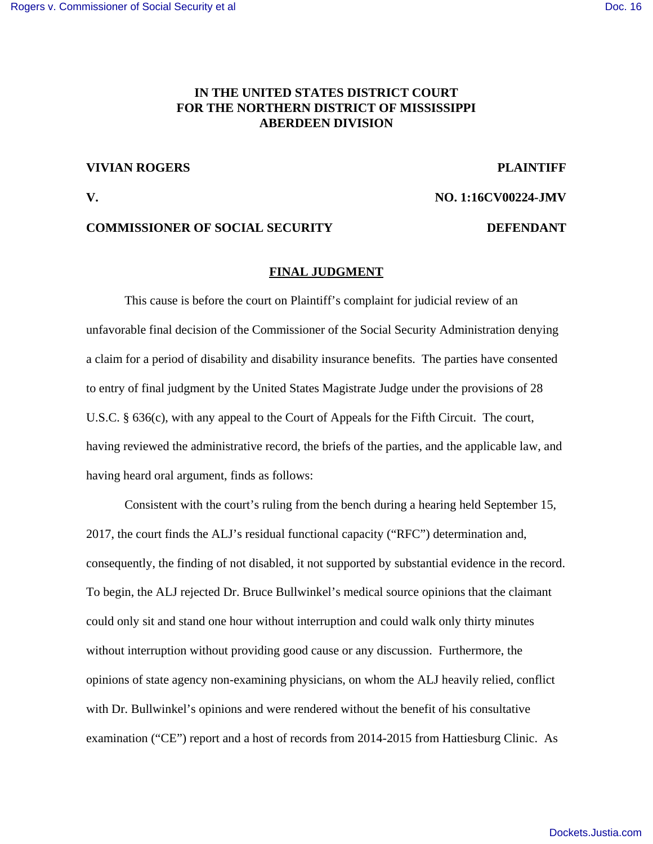### **IN THE UNITED STATES DISTRICT COURT FOR THE NORTHERN DISTRICT OF MISSISSIPPI ABERDEEN DIVISION**

#### **VIVIAN ROGERS PLAINTIFF**

**V. NO. 1:16CV00224-JMV**

## **COMMISSIONER OF SOCIAL SECURITY DEFENDANT**

#### **FINAL JUDGMENT**

This cause is before the court on Plaintiff's complaint for judicial review of an unfavorable final decision of the Commissioner of the Social Security Administration denying a claim for a period of disability and disability insurance benefits. The parties have consented to entry of final judgment by the United States Magistrate Judge under the provisions of 28 U.S.C. § 636(c), with any appeal to the Court of Appeals for the Fifth Circuit. The court, having reviewed the administrative record, the briefs of the parties, and the applicable law, and having heard oral argument, finds as follows:

Consistent with the court's ruling from the bench during a hearing held September 15, 2017, the court finds the ALJ's residual functional capacity ("RFC") determination and, consequently, the finding of not disabled, it not supported by substantial evidence in the record. To begin, the ALJ rejected Dr. Bruce Bullwinkel's medical source opinions that the claimant could only sit and stand one hour without interruption and could walk only thirty minutes without interruption without providing good cause or any discussion. Furthermore, the opinions of state agency non-examining physicians, on whom the ALJ heavily relied, conflict with Dr. Bullwinkel's opinions and were rendered without the benefit of his consultative examination ("CE") report and a host of records from 2014-2015 from Hattiesburg Clinic. As